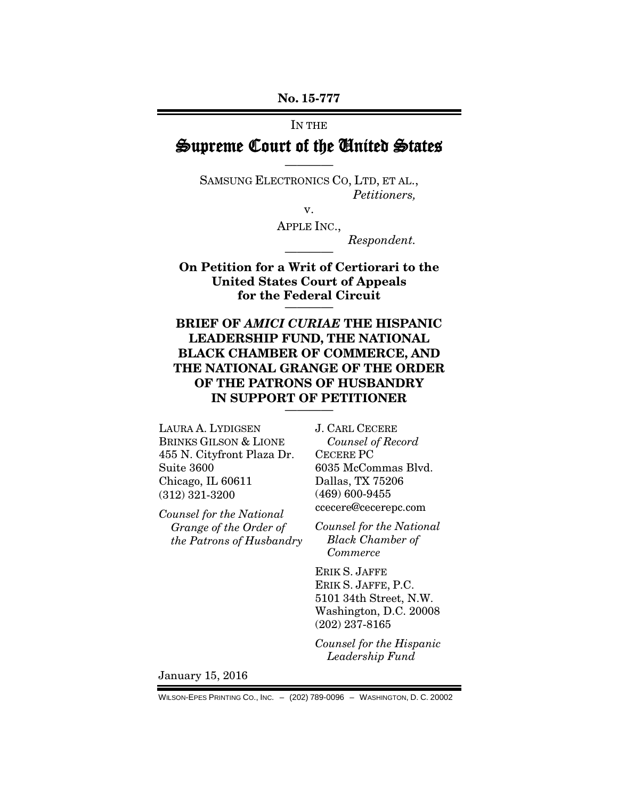No. 15-777

#### IN THE

# Supreme Court of the United States ————

SAMSUNG ELECTRONICS CO, LTD, ET AL., *Petitioners,*

v.

APPLE INC.,

 $Respondent.$ 

On Petition for a Writ of Certiorari to the United States Court of Appeals for the Federal Circuit

BRIEF OF *AMICI CURIAE* THE HISPANIC LEADERSHIP FUND, THE NATIONAL BLACK CHAMBER OF COMMERCE, AND THE NATIONAL GRANGE OF THE ORDER OF THE PATRONS OF HUSBANDRY IN SUPPORT OF PETITIONER

LAURA A. LYDIGSEN BRINKS GILSON & LIONE 455 N. Cityfront Plaza Dr. Suite 3600 Chicago, IL 60611 (312) 321-3200

*Counsel for the National Grange of the Order of the Patrons of Husbandry* J. CARL CECERE *Counsel of Record* CECERE PC 6035 McCommas Blvd. Dallas, TX 75206 (469) 600-9455 ccecere@cecerepc.com

*Counsel for the National Black Chamber of Commerce*

ERIK S. JAFFE ERIK S. JAFFE, P.C. 5101 34th Street, N.W. Washington, D.C. 20008 (202) 237-8165

*Counsel for the Hispanic Leadership Fund*

January 15, 2016

WILSON-EPES PRINTING CO., INC. – (202) 789-0096 – WASHINGTON, D. C. 20002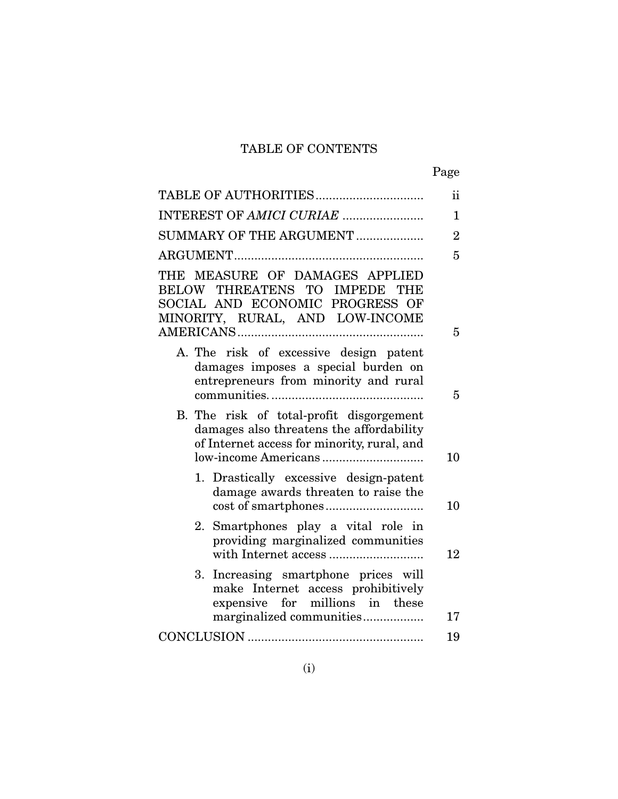# TABLE OF CONTENTS

|                                                                                                                                       | ii             |
|---------------------------------------------------------------------------------------------------------------------------------------|----------------|
| INTEREST OF AMICI CURIAE                                                                                                              | $\mathbf{1}$   |
| SUMMARY OF THE ARGUMENT                                                                                                               | $\overline{2}$ |
|                                                                                                                                       | 5              |
| THE MEASURE OF DAMAGES APPLIED<br>BELOW THREATENS TO IMPEDE THE<br>SOCIAL AND ECONOMIC PROGRESS OF<br>MINORITY, RURAL, AND LOW-INCOME | 5              |
| A. The risk of excessive design patent<br>damages imposes a special burden on<br>entrepreneurs from minority and rural                | 5              |
| B. The risk of total-profit disgorgement<br>damages also threatens the affordability<br>of Internet access for minority, rural, and   | 10             |
| 1. Drastically excessive design-patent<br>damage awards threaten to raise the                                                         | 10             |
| 2. Smartphones play a vital role in<br>providing marginalized communities                                                             | 12             |
| Increasing smartphone prices will<br>3.<br>make Internet access prohibitively<br>expensive for millions in these                      |                |
| marginalized communities                                                                                                              | 17             |
|                                                                                                                                       | 19             |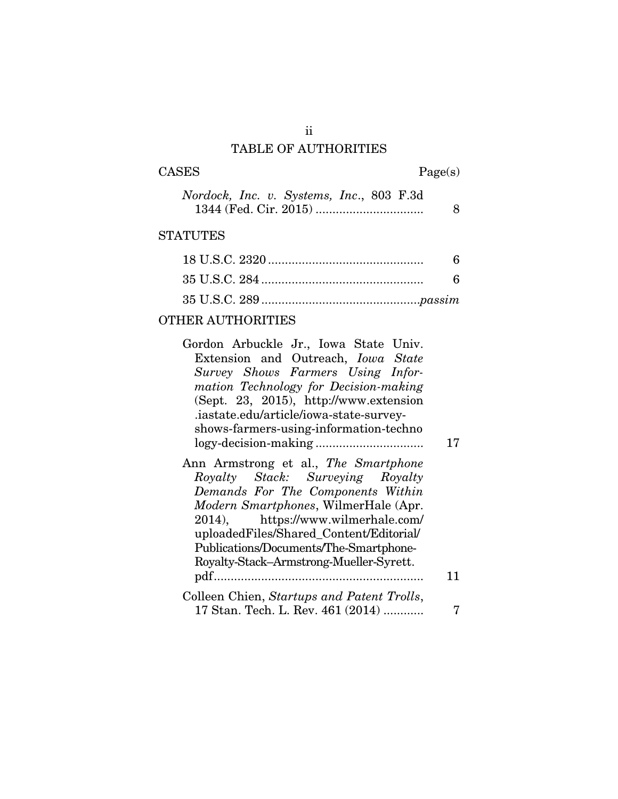# ii TABLE OF AUTHORITIES

| CASES |  |  |  |  |
|-------|--|--|--|--|
|-------|--|--|--|--|

 $\text{Page}(\mathbf{s})$ 

|  | Nordock, Inc. v. Systems, Inc., 803 F.3d |  |  |
|--|------------------------------------------|--|--|
|  |                                          |  |  |

## **STATUTES**

| 6 |
|---|
|   |
|   |

# OTHER AUTHORITIES

| Gordon Arbuckle Jr., Iowa State Univ.                                                                                                                                                                                                                                            |    |
|----------------------------------------------------------------------------------------------------------------------------------------------------------------------------------------------------------------------------------------------------------------------------------|----|
| Extension and Outreach, <i>Iowa State</i>                                                                                                                                                                                                                                        |    |
| Survey Shows Farmers Using Infor-                                                                                                                                                                                                                                                |    |
| mation Technology for Decision-making                                                                                                                                                                                                                                            |    |
| (Sept. 23, 2015), http://www.extension                                                                                                                                                                                                                                           |    |
| .iastate.edu/article/iowa-state-survey-                                                                                                                                                                                                                                          |    |
| shows-farmers-using-information-techno                                                                                                                                                                                                                                           |    |
|                                                                                                                                                                                                                                                                                  | 17 |
| Ann Armstrong et al., The Smartphone<br>Royalty Stack: Surveying Royalty<br>Demands For The Components Within<br>Modern Smartphones, WilmerHale (Apr.<br>2014), https://www.wilmerhale.com/<br>uploadedFiles/Shared_Content/Editorial/<br>Publications/Documents/The-Smartphone- |    |
| Royalty-Stack-Armstrong-Mueller-Syrett.                                                                                                                                                                                                                                          |    |
|                                                                                                                                                                                                                                                                                  | 11 |
| Colleen Chien, Startups and Patent Trolls,                                                                                                                                                                                                                                       |    |
| 17 Stan. Tech. L. Rev. 461 (2014)                                                                                                                                                                                                                                                |    |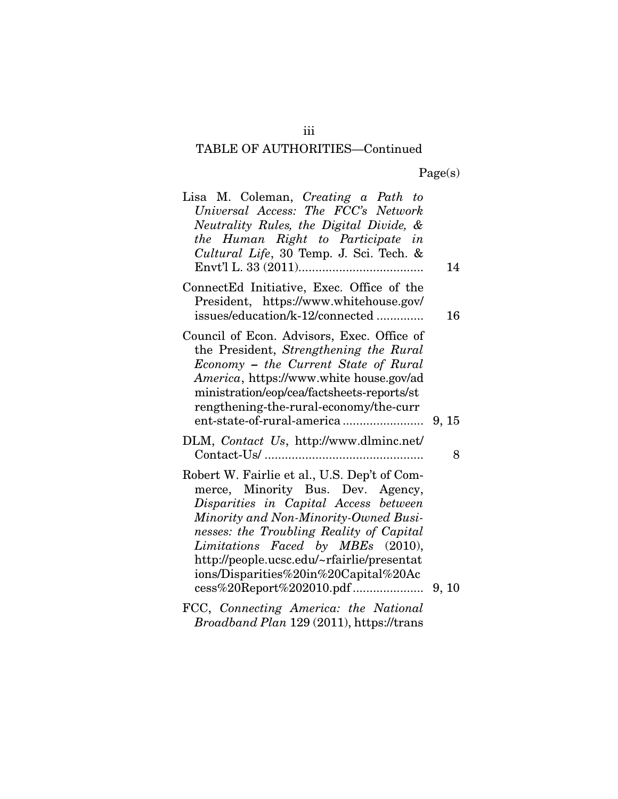| Lisa M. Coleman, Creating a Path to<br>Universal Access: The FCC's Network<br>Neutrality Rules, the Digital Divide, &<br>the Human Right to Participate in<br>Cultural Life, 30 Temp. J. Sci. Tech. &                                                                                                                                      | 14 |
|--------------------------------------------------------------------------------------------------------------------------------------------------------------------------------------------------------------------------------------------------------------------------------------------------------------------------------------------|----|
| ConnectEd Initiative, Exec. Office of the<br>President, https://www.whitehouse.gov/<br>issues/education/k-12/connected                                                                                                                                                                                                                     | 16 |
| Council of Econ. Advisors, Exec. Office of<br>the President, Strengthening the Rural<br>Economy - the Current State of Rural<br>America, https://www.white house.gov/ad<br>ministration/eop/cea/factsheets-reports/st<br>rengthening-the-rural-economy/the-curr                                                                            |    |
| DLM, Contact Us, http://www.dlminc.net/                                                                                                                                                                                                                                                                                                    | 8  |
| Robert W. Fairlie et al., U.S. Dep't of Com-<br>merce, Minority Bus. Dev. Agency,<br>Disparities in Capital Access between<br>Minority and Non-Minority-Owned Busi-<br>nesses: the Troubling Reality of Capital<br>Limitations Faced by MBEs (2010),<br>http://people.ucsc.edu/~rfairlie/presentat<br>ions/Disparities%20in%20Capital%20Ac |    |
| FCC, Connecting America: the National<br>Broadband Plan 129 (2011), https://trans                                                                                                                                                                                                                                                          |    |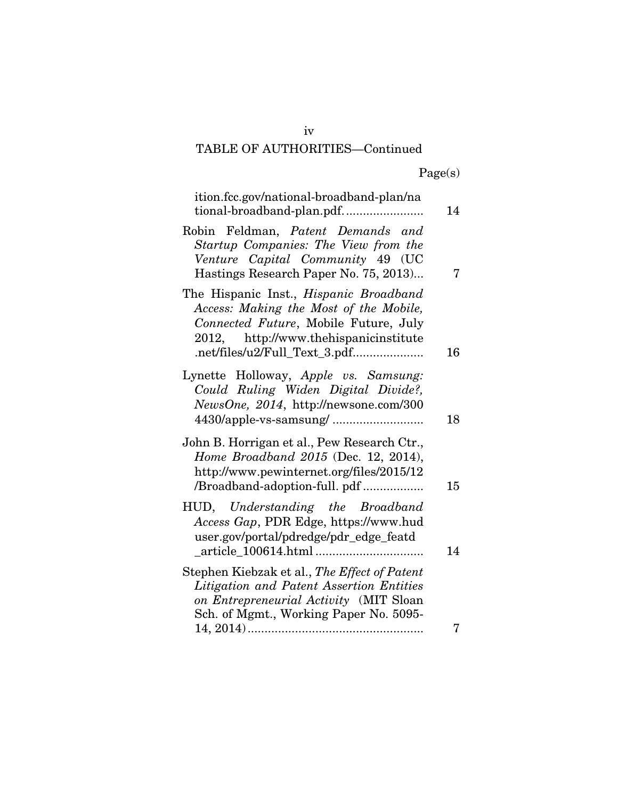|  | Page(s) |
|--|---------|
|  |         |

| ition.fcc.gov/national-broadband-plan/na<br>tional-broadband-plan.pdf                                                                                                                                      | 14 |
|------------------------------------------------------------------------------------------------------------------------------------------------------------------------------------------------------------|----|
| Robin Feldman, Patent Demands and<br>Startup Companies: The View from the<br>Venture Capital Community 49 (UC<br>Hastings Research Paper No. 75, 2013)                                                     | 7  |
| The Hispanic Inst., <i>Hispanic Broadband</i><br>Access: Making the Most of the Mobile,<br>Connected Future, Mobile Future, July<br>2012, http://www.thehispanicinstitute<br>.net/files/u2/Full_Text_3.pdf | 16 |
| Lynette Holloway, Apple vs. Samsung:<br>Could Ruling Widen Digital Divide?,<br>NewsOne, 2014, http://newsone.com/300                                                                                       | 18 |
| John B. Horrigan et al., Pew Research Ctr.,<br>Home Broadband 2015 (Dec. 12, 2014),<br>http://www.pewinternet.org/files/2015/12<br>/Broadband-adoption-full. pdf                                           | 15 |
| HUD, Understanding the Broadband<br>Access Gap, PDR Edge, https://www.hud<br>user.gov/portal/pdredge/pdr_edge_featd                                                                                        | 14 |
| Stephen Kiebzak et al., The Effect of Patent<br>Litigation and Patent Assertion Entities<br>on Entrepreneurial Activity (MIT Sloan<br>Sch. of Mgmt., Working Paper No. 5095-                               |    |
|                                                                                                                                                                                                            | 7  |

iv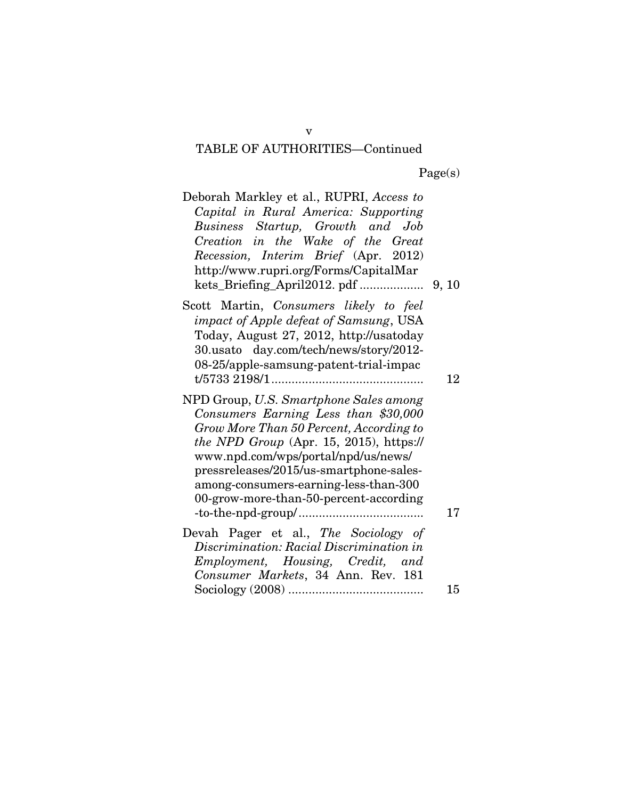| Deborah Markley et al., RUPRI, Access to<br>Capital in Rural America: Supporting<br>Business Startup, Growth and Job<br>Creation in the Wake of the Great<br>Recession, Interim Brief (Apr. 2012)<br>http://www.rupri.org/Forms/CapitalMar                                                                                                |    |
|-------------------------------------------------------------------------------------------------------------------------------------------------------------------------------------------------------------------------------------------------------------------------------------------------------------------------------------------|----|
| Scott Martin, Consumers likely to feel<br><i>impact of Apple defeat of Samsung</i> , USA<br>Today, August 27, 2012, http://usatoday<br>30.usato day.com/tech/news/story/2012-<br>08-25/apple-samsung-patent-trial-impac                                                                                                                   | 12 |
| NPD Group, U.S. Smartphone Sales among<br>Consumers Earning Less than \$30,000<br>Grow More Than 50 Percent, According to<br>the NPD Group (Apr. 15, 2015), https://<br>www.npd.com/wps/portal/npd/us/news/<br>pressreleases/2015/us-smartphone-sales-<br>among-consumers-earning-less-than-300<br>00-grow-more-than-50-percent-according | 17 |
| Devah Pager et al., The Sociology of<br>Discrimination: Racial Discrimination in<br>Employment, Housing, Credit, and<br>Consumer Markets, 34 Ann. Rev. 181                                                                                                                                                                                | 15 |

v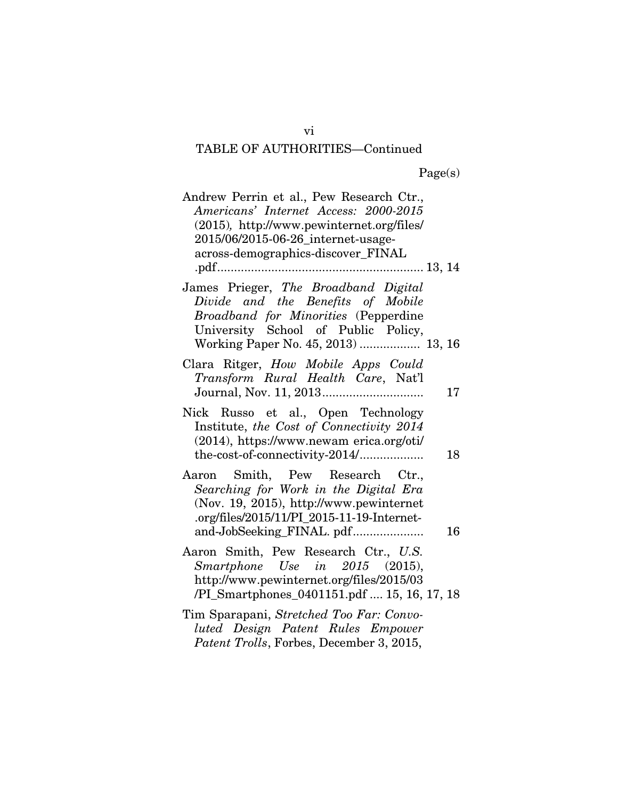| Andrew Perrin et al., Pew Research Ctr.,<br>Americans' Internet Access: 2000-2015<br>(2015), http://www.pewinternet.org/files/<br>2015/06/2015-06-26_internet-usage-<br>across-demographics-discover_FINAL |
|------------------------------------------------------------------------------------------------------------------------------------------------------------------------------------------------------------|
| James Prieger, The Broadband Digital<br>Divide and the Benefits of Mobile<br>Broadband for Minorities (Pepperdine<br>University School of Public Policy,<br>Working Paper No. 45, 2013)  13, 16            |
| Clara Ritger, How Mobile Apps Could<br>Transform Rural Health Care, Nat'l<br>17                                                                                                                            |
| Nick Russo et al., Open Technology<br>Institute, the Cost of Connectivity 2014<br>(2014), https://www.newam erica.org/oti/<br>18                                                                           |
| Aaron Smith, Pew Research Ctr.,<br>Searching for Work in the Digital Era<br>(Nov. 19, 2015), http://www.pewinternet<br>.org/files/2015/11/PI_2015-11-19-Internet-<br>and-JobSeeking_FINAL. pdf<br>16       |
| Aaron Smith, Pew Research Ctr., U.S.<br>Smartphone Use in $2015$ (2015),<br>http://www.pewinternet.org/files/2015/03<br>/PI_Smartphones_0401151.pdf  15, 16, 17, 18                                        |
| Tim Sparapani, Stretched Too Far: Convo-<br>luted Design Patent Rules Empower<br>Patent Trolls, Forbes, December 3, 2015,                                                                                  |

vi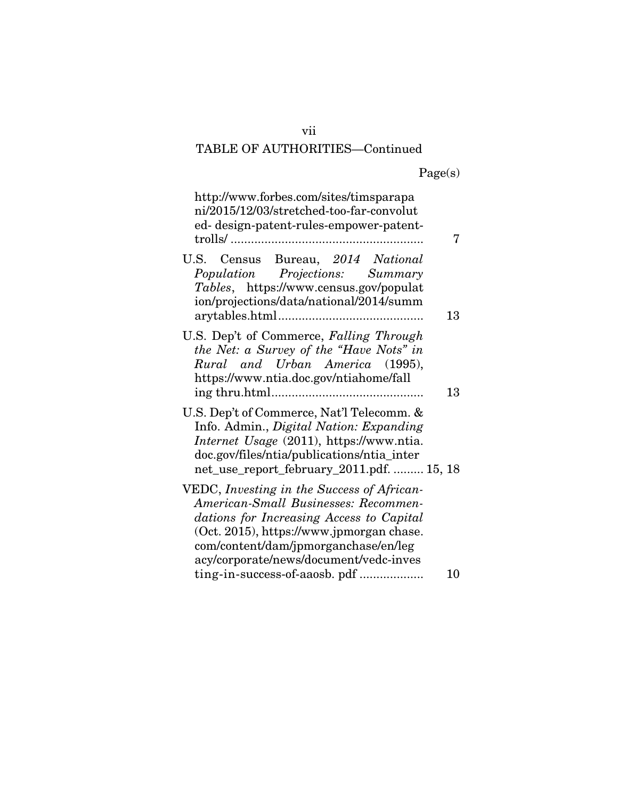|  | Page(s) |
|--|---------|
|  |         |

| http://www.forbes.com/sites/timsparapa<br>ni/2015/12/03/stretched-too-far-convolut<br>ed-design-patent-rules-empower-patent-                                                                                                                                 |    |
|--------------------------------------------------------------------------------------------------------------------------------------------------------------------------------------------------------------------------------------------------------------|----|
| U.S.<br>Census Bureau, 2014 National<br>Population Projections: Summary<br>Tables, https://www.census.gov/populat<br>ion/projections/data/national/2014/summ                                                                                                 | 13 |
| U.S. Dep't of Commerce, Falling Through<br>the Net: a Survey of the "Have Nots" in<br>Rural and Urban America (1995),<br>https://www.ntia.doc.gov/ntiahome/fall                                                                                              | 13 |
| U.S. Dep't of Commerce, Nat'l Telecomm. &<br>Info. Admin., Digital Nation: Expanding<br>Internet Usage (2011), https://www.ntia.<br>doc.gov/files/ntia/publications/ntia_inter<br>net_use_report_february_2011.pdf.  15, 18                                  |    |
| VEDC, Investing in the Success of African-<br>American-Small Businesses: Recommen-<br>dations for Increasing Access to Capital<br>(Oct. 2015), https://www.jpmorgan chase.<br>com/content/dam/jpmorganchase/en/leg<br>acy/corporate/news/document/vedc-inves |    |
| ting-in-success-of-aaosb. pdf                                                                                                                                                                                                                                | 10 |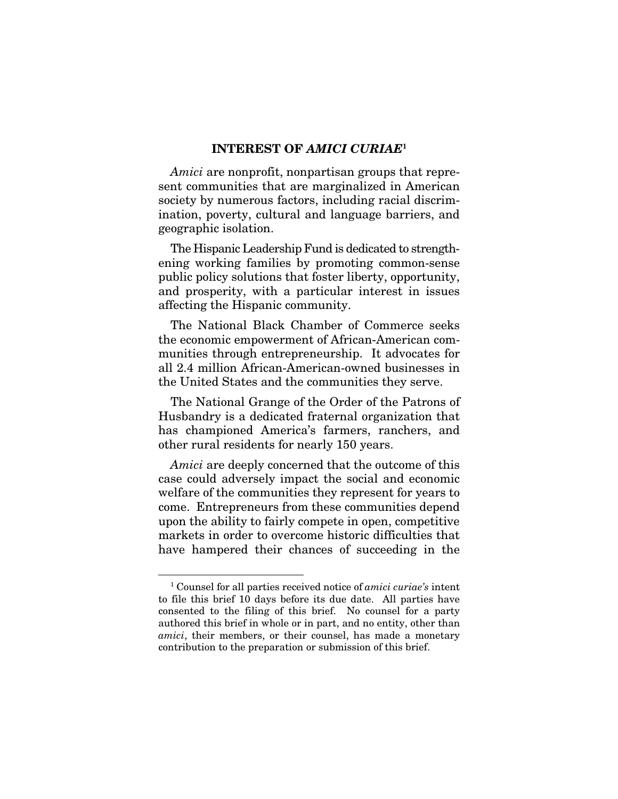#### INTEREST OF *AMICI CURIAE*<sup>1</sup>

*Amici* are nonprofit, nonpartisan groups that represent communities that are marginalized in American society by numerous factors, including racial discrimination, poverty, cultural and language barriers, and geographic isolation.

The Hispanic Leadership Fund is dedicated to strengthening working families by promoting common-sense public policy solutions that foster liberty, opportunity, and prosperity, with a particular interest in issues affecting the Hispanic community.

The National Black Chamber of Commerce seeks the economic empowerment of African-American communities through entrepreneurship. It advocates for all 2.4 million African-American-owned businesses in the United States and the communities they serve.

The National Grange of the Order of the Patrons of Husbandry is a dedicated fraternal organization that has championed America's farmers, ranchers, and other rural residents for nearly 150 years.

*Amici* are deeply concerned that the outcome of this case could adversely impact the social and economic welfare of the communities they represent for years to come. Entrepreneurs from these communities depend upon the ability to fairly compete in open, competitive markets in order to overcome historic difficulties that have hampered their chances of succeeding in the

<sup>1</sup> Counsel for all parties received notice of *amici curiae's* intent to file this brief 10 days before its due date. All parties have consented to the filing of this brief. No counsel for a party authored this brief in whole or in part, and no entity, other than *amici*, their members, or their counsel, has made a monetary contribution to the preparation or submission of this brief.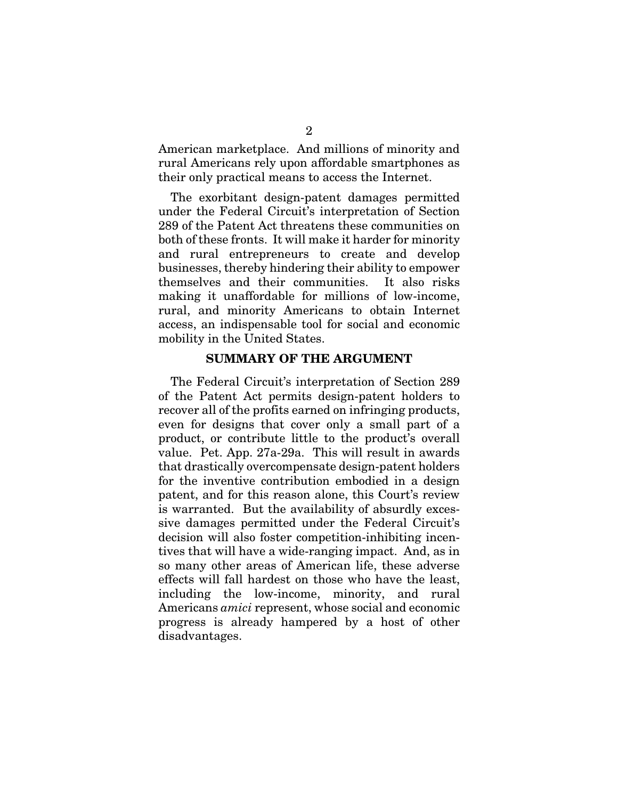American marketplace. And millions of minority and rural Americans rely upon affordable smartphones as their only practical means to access the Internet.

The exorbitant design-patent damages permitted under the Federal Circuit's interpretation of Section 289 of the Patent Act threatens these communities on both of these fronts. It will make it harder for minority and rural entrepreneurs to create and develop businesses, thereby hindering their ability to empower themselves and their communities. It also risks making it unaffordable for millions of low-income, rural, and minority Americans to obtain Internet access, an indispensable tool for social and economic mobility in the United States.

#### SUMMARY OF THE ARGUMENT

The Federal Circuit's interpretation of Section 289 of the Patent Act permits design-patent holders to recover all of the profits earned on infringing products, even for designs that cover only a small part of a product, or contribute little to the product's overall value. Pet. App. 27a-29a. This will result in awards that drastically overcompensate design-patent holders for the inventive contribution embodied in a design patent, and for this reason alone, this Court's review is warranted. But the availability of absurdly excessive damages permitted under the Federal Circuit's decision will also foster competition-inhibiting incentives that will have a wide-ranging impact. And, as in so many other areas of American life, these adverse effects will fall hardest on those who have the least, including the low-income, minority, and rural Americans *amici* represent, whose social and economic progress is already hampered by a host of other disadvantages.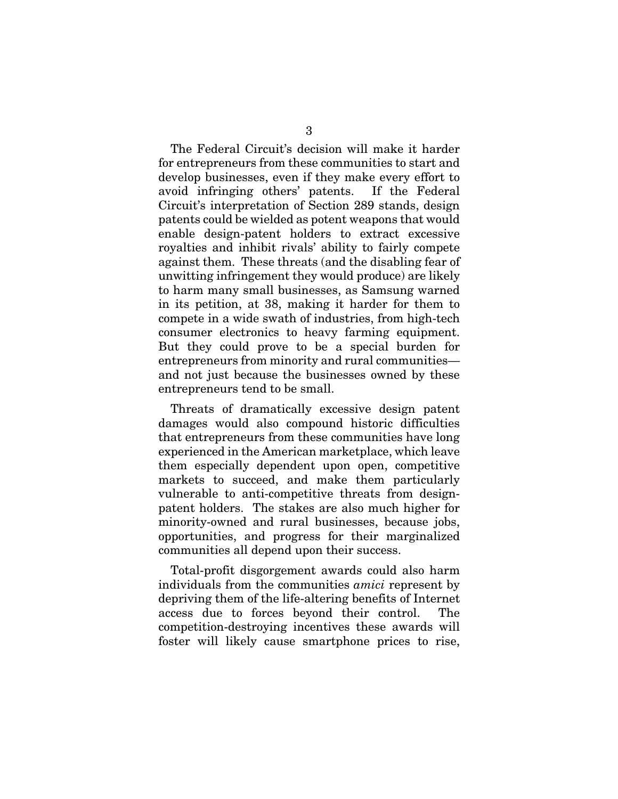The Federal Circuit's decision will make it harder for entrepreneurs from these communities to start and develop businesses, even if they make every effort to avoid infringing others' patents. If the Federal Circuit's interpretation of Section 289 stands, design patents could be wielded as potent weapons that would enable design-patent holders to extract excessive royalties and inhibit rivals' ability to fairly compete against them. These threats (and the disabling fear of unwitting infringement they would produce) are likely to harm many small businesses, as Samsung warned in its petition, at 38, making it harder for them to compete in a wide swath of industries, from high-tech consumer electronics to heavy farming equipment. But they could prove to be a special burden for entrepreneurs from minority and rural communities and not just because the businesses owned by these entrepreneurs tend to be small.

Threats of dramatically excessive design patent damages would also compound historic difficulties that entrepreneurs from these communities have long experienced in the American marketplace, which leave them especially dependent upon open, competitive markets to succeed, and make them particularly vulnerable to anti-competitive threats from designpatent holders. The stakes are also much higher for minority-owned and rural businesses, because jobs, opportunities, and progress for their marginalized communities all depend upon their success.

Total-profit disgorgement awards could also harm individuals from the communities *amici* represent by depriving them of the life-altering benefits of Internet access due to forces beyond their control. The competition-destroying incentives these awards will foster will likely cause smartphone prices to rise,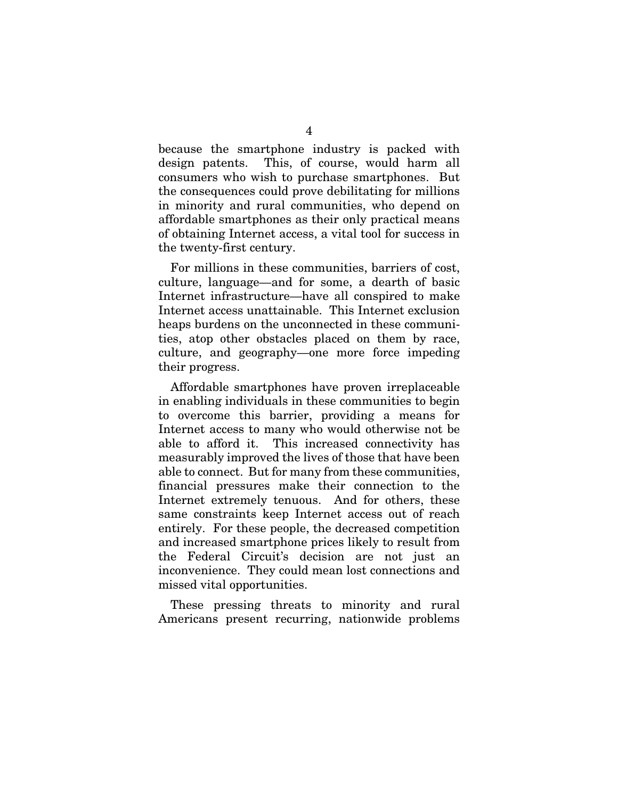because the smartphone industry is packed with design patents. This, of course, would harm all consumers who wish to purchase smartphones. But the consequences could prove debilitating for millions in minority and rural communities, who depend on affordable smartphones as their only practical means of obtaining Internet access, a vital tool for success in the twenty-first century.

For millions in these communities, barriers of cost, culture, language—and for some, a dearth of basic Internet infrastructure—have all conspired to make Internet access unattainable. This Internet exclusion heaps burdens on the unconnected in these communities, atop other obstacles placed on them by race, culture, and geography—one more force impeding their progress.

Affordable smartphones have proven irreplaceable in enabling individuals in these communities to begin to overcome this barrier, providing a means for Internet access to many who would otherwise not be able to afford it. This increased connectivity has measurably improved the lives of those that have been able to connect. But for many from these communities, financial pressures make their connection to the Internet extremely tenuous. And for others, these same constraints keep Internet access out of reach entirely. For these people, the decreased competition and increased smartphone prices likely to result from the Federal Circuit's decision are not just an inconvenience. They could mean lost connections and missed vital opportunities.

These pressing threats to minority and rural Americans present recurring, nationwide problems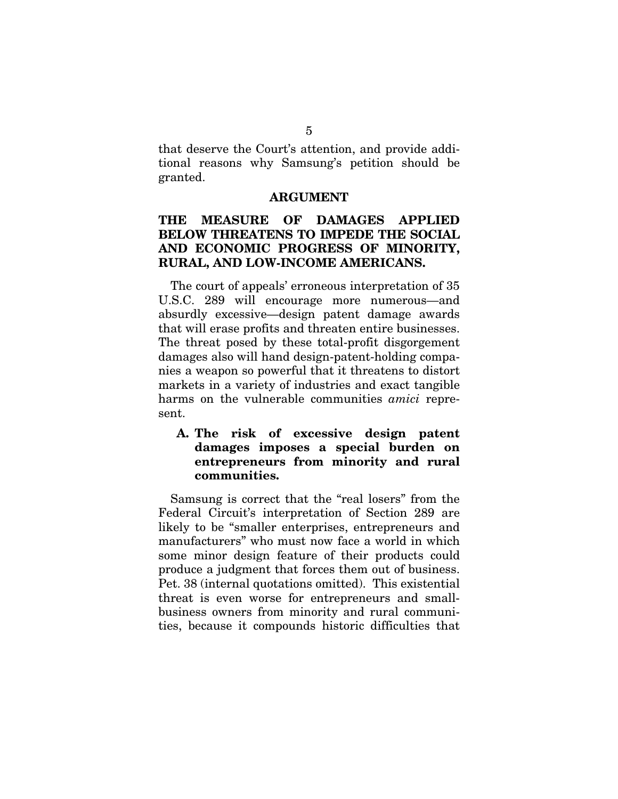that deserve the Court's attention, and provide additional reasons why Samsung's petition should be granted.

#### ARGUMENT

### THE MEASURE OF DAMAGES APPLIED BELOW THREATENS TO IMPEDE THE SOCIAL AND ECONOMIC PROGRESS OF MINORITY, RURAL, AND LOW-INCOME AMERICANS.

The court of appeals' erroneous interpretation of 35 U.S.C. 289 will encourage more numerous—and absurdly excessive—design patent damage awards that will erase profits and threaten entire businesses. The threat posed by these total-profit disgorgement damages also will hand design-patent-holding companies a weapon so powerful that it threatens to distort markets in a variety of industries and exact tangible harms on the vulnerable communities *amici* represent.

### A. The risk of excessive design patent damages imposes a special burden on entrepreneurs from minority and rural communities.

Samsung is correct that the "real losers" from the Federal Circuit's interpretation of Section 289 are likely to be "smaller enterprises, entrepreneurs and manufacturers" who must now face a world in which some minor design feature of their products could produce a judgment that forces them out of business. Pet. 38 (internal quotations omitted). This existential threat is even worse for entrepreneurs and smallbusiness owners from minority and rural communities, because it compounds historic difficulties that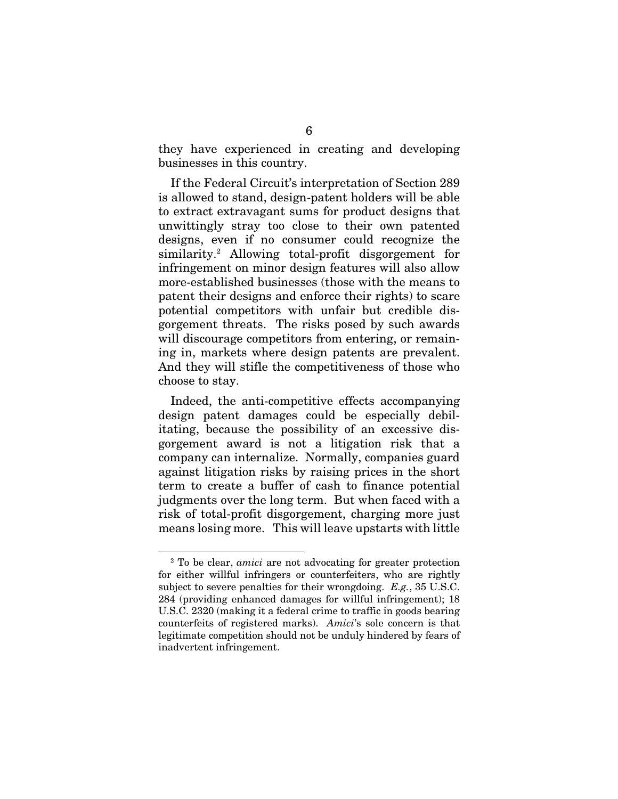they have experienced in creating and developing businesses in this country.

If the Federal Circuit's interpretation of Section 289 is allowed to stand, design-patent holders will be able to extract extravagant sums for product designs that unwittingly stray too close to their own patented designs, even if no consumer could recognize the similarity.2 Allowing total-profit disgorgement for infringement on minor design features will also allow more-established businesses (those with the means to patent their designs and enforce their rights) to scare potential competitors with unfair but credible disgorgement threats. The risks posed by such awards will discourage competitors from entering, or remaining in, markets where design patents are prevalent. And they will stifle the competitiveness of those who choose to stay.

Indeed, the anti-competitive effects accompanying design patent damages could be especially debilitating, because the possibility of an excessive disgorgement award is not a litigation risk that a company can internalize. Normally, companies guard against litigation risks by raising prices in the short term to create a buffer of cash to finance potential judgments over the long term. But when faced with a risk of total-profit disgorgement, charging more just means losing more. This will leave upstarts with little

<sup>2</sup> To be clear, *amici* are not advocating for greater protection for either willful infringers or counterfeiters, who are rightly subject to severe penalties for their wrongdoing. *E.g.*, 35 U.S.C. 284 (providing enhanced damages for willful infringement); 18 U.S.C. 2320 (making it a federal crime to traffic in goods bearing counterfeits of registered marks). *Amici*'s sole concern is that legitimate competition should not be unduly hindered by fears of inadvertent infringement.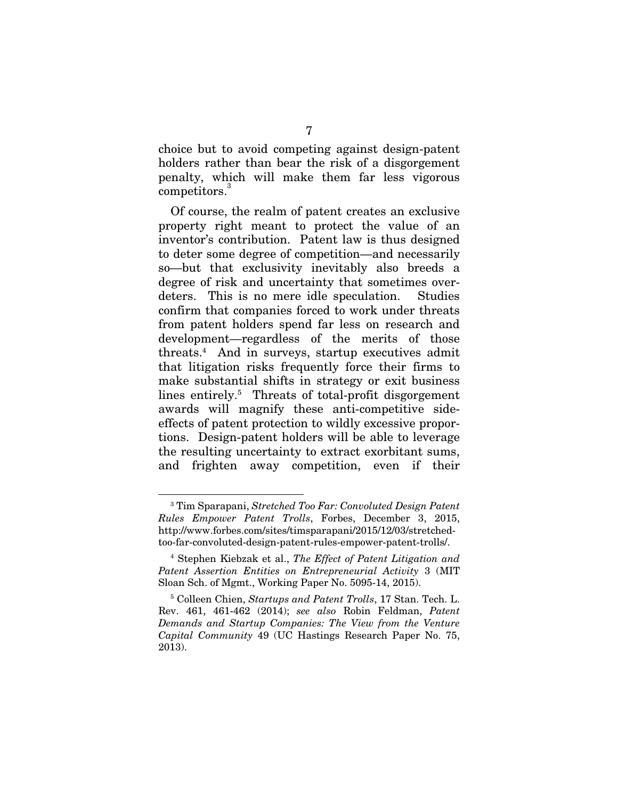choice but to avoid competing against design-patent holders rather than bear the risk of a disgorgement penalty, which will make them far less vigorous competitors.<sup>3</sup>

Of course, the realm of patent creates an exclusive property right meant to protect the value of an inventor's contribution. Patent law is thus designed to deter some degree of competition—and necessarily so—but that exclusivity inevitably also breeds a degree of risk and uncertainty that sometimes overdeters. This is no mere idle speculation. Studies confirm that companies forced to work under threats from patent holders spend far less on research and development—regardless of the merits of those threats.4 And in surveys, startup executives admit that litigation risks frequently force their firms to make substantial shifts in strategy or exit business lines entirely.<sup>5</sup> Threats of total-profit disgorgement awards will magnify these anti-competitive sideeffects of patent protection to wildly excessive proportions. Design-patent holders will be able to leverage the resulting uncertainty to extract exorbitant sums, and frighten away competition, even if their

<sup>3</sup> Tim Sparapani, *Stretched Too Far: Convoluted Design Patent Rules Empower Patent Trolls*, Forbes, December 3, 2015, http://www.forbes.com/sites/timsparapani/2015/12/03/stretchedtoo-far-convoluted-design-patent-rules-empower-patent-trolls/.

<sup>4</sup> Stephen Kiebzak et al., *The Effect of Patent Litigation and Patent Assertion Entities on Entrepreneurial Activity* 3 (MIT Sloan Sch. of Mgmt., Working Paper No. 5095-14, 2015).

<sup>5</sup> Colleen Chien, *Startups and Patent Trolls*, 17 Stan. Tech. L. Rev. 461, 461-462 (2014); *see also* Robin Feldman, *Patent Demands and Startup Companies: The View from the Venture Capital Community* 49 (UC Hastings Research Paper No. 75, 2013).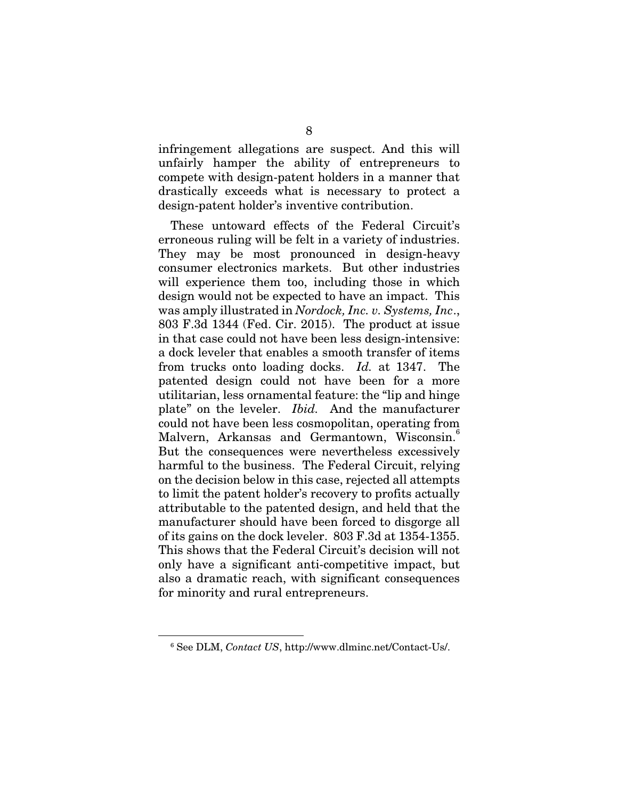infringement allegations are suspect. And this will unfairly hamper the ability of entrepreneurs to compete with design-patent holders in a manner that drastically exceeds what is necessary to protect a design-patent holder's inventive contribution.

These untoward effects of the Federal Circuit's erroneous ruling will be felt in a variety of industries. They may be most pronounced in design-heavy consumer electronics markets. But other industries will experience them too, including those in which design would not be expected to have an impact. This was amply illustrated in *Nordock, Inc. v. Systems, Inc*., 803 F.3d 1344 (Fed. Cir. 2015). The product at issue in that case could not have been less design-intensive: a dock leveler that enables a smooth transfer of items from trucks onto loading docks. *Id.* at 1347. The patented design could not have been for a more utilitarian, less ornamental feature: the "lip and hinge plate" on the leveler. *Ibid.* And the manufacturer could not have been less cosmopolitan, operating from Malvern, Arkansas and Germantown, Wisconsin.<sup>6</sup> But the consequences were nevertheless excessively harmful to the business. The Federal Circuit, relying on the decision below in this case, rejected all attempts to limit the patent holder's recovery to profits actually attributable to the patented design, and held that the manufacturer should have been forced to disgorge all of its gains on the dock leveler. 803 F.3d at 1354-1355. This shows that the Federal Circuit's decision will not only have a significant anti-competitive impact, but also a dramatic reach, with significant consequences for minority and rural entrepreneurs.

<sup>6</sup> See DLM, *Contact US*, http://www.dlminc.net/Contact-Us/.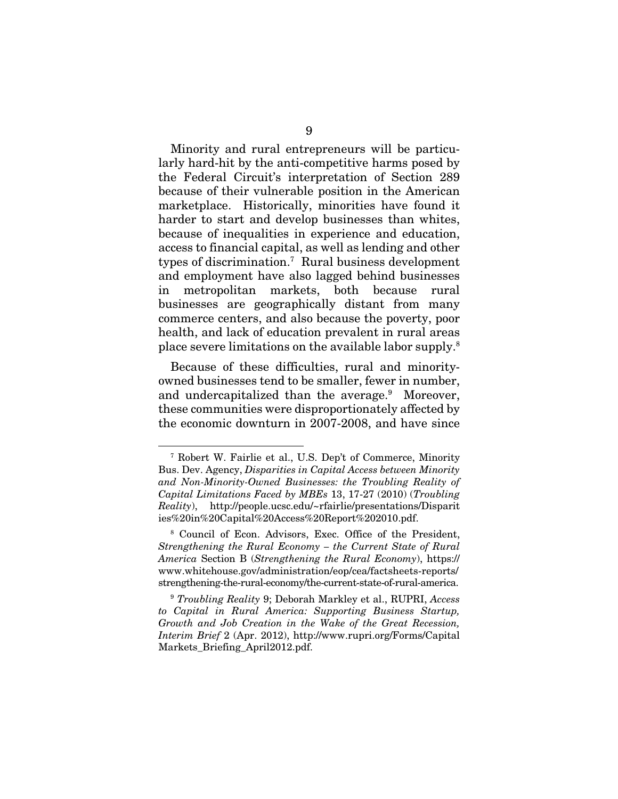Minority and rural entrepreneurs will be particularly hard-hit by the anti-competitive harms posed by the Federal Circuit's interpretation of Section 289 because of their vulnerable position in the American marketplace. Historically, minorities have found it harder to start and develop businesses than whites, because of inequalities in experience and education, access to financial capital, as well as lending and other types of discrimination.7 Rural business development and employment have also lagged behind businesses in metropolitan markets, both because rural businesses are geographically distant from many commerce centers, and also because the poverty, poor health, and lack of education prevalent in rural areas place severe limitations on the available labor supply.8

Because of these difficulties, rural and minorityowned businesses tend to be smaller, fewer in number, and undercapitalized than the average.<sup>9</sup> Moreover, these communities were disproportionately affected by the economic downturn in 2007-2008, and have since

<sup>7</sup> Robert W. Fairlie et al., U.S. Dep't of Commerce, Minority Bus. Dev. Agency, *Disparities in Capital Access between Minority and Non-Minority-Owned Businesses: the Troubling Reality of Capital Limitations Faced by MBEs* 13, 17-27 (2010) (*Troubling Reality*), http://people.ucsc.edu/~rfairlie/presentations/Disparit ies%20in%20Capital%20Access%20Report%202010.pdf.

<sup>8</sup> Council of Econ. Advisors, Exec. Office of the President, *Strengthening the Rural Economy – the Current State of Rural America* Section B (*Strengthening the Rural Economy*), https:// www.whitehouse.gov/administration/eop/cea/factsheets-reports/ strengthening-the-rural-economy/the-current-state-of-rural-america.

<sup>9</sup> *Troubling Reality* 9; Deborah Markley et al., RUPRI, *Access to Capital in Rural America: Supporting Business Startup, Growth and Job Creation in the Wake of the Great Recession, Interim Brief* 2 (Apr. 2012), http://www.rupri.org/Forms/Capital Markets\_Briefing\_April2012.pdf.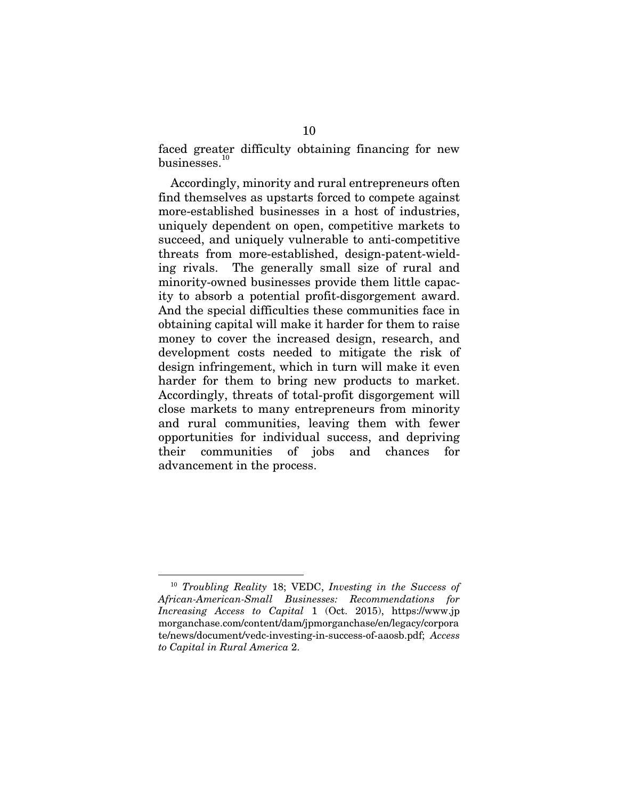faced greater difficulty obtaining financing for new businesses.<sup>1</sup>

Accordingly, minority and rural entrepreneurs often find themselves as upstarts forced to compete against more-established businesses in a host of industries, uniquely dependent on open, competitive markets to succeed, and uniquely vulnerable to anti-competitive threats from more-established, design-patent-wielding rivals. The generally small size of rural and minority-owned businesses provide them little capacity to absorb a potential profit-disgorgement award. And the special difficulties these communities face in obtaining capital will make it harder for them to raise money to cover the increased design, research, and development costs needed to mitigate the risk of design infringement, which in turn will make it even harder for them to bring new products to market. Accordingly, threats of total-profit disgorgement will close markets to many entrepreneurs from minority and rural communities, leaving them with fewer opportunities for individual success, and depriving their communities of jobs and chances for advancement in the process.

<sup>10</sup> *Troubling Reality* 18; VEDC, *Investing in the Success of African-American-Small Businesses: Recommendations for Increasing Access to Capital* 1 (Oct. 2015), https://www.jp morganchase.com/content/dam/jpmorganchase/en/legacy/corpora te/news/document/vedc-investing-in-success-of-aaosb.pdf; *Access to Capital in Rural America* 2.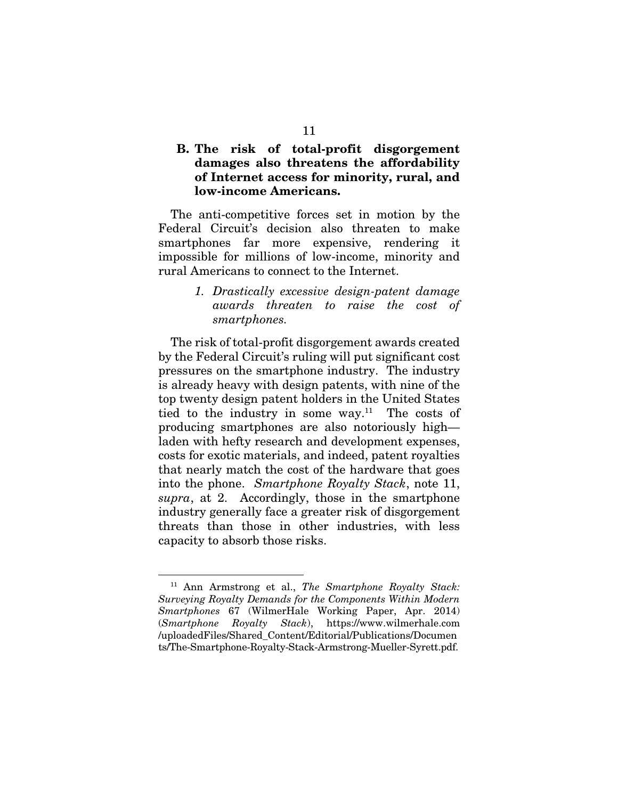### B. The risk of total-profit disgorgement damages also threatens the affordability of Internet access for minority, rural, and low-income Americans.

The anti-competitive forces set in motion by the Federal Circuit's decision also threaten to make smartphones far more expensive, rendering it impossible for millions of low-income, minority and rural Americans to connect to the Internet.

> *1. Drastically excessive design-patent damage awards threaten to raise the cost of smartphones.*

The risk of total-profit disgorgement awards created by the Federal Circuit's ruling will put significant cost pressures on the smartphone industry. The industry is already heavy with design patents, with nine of the top twenty design patent holders in the United States tied to the industry in some way.<sup>11</sup> The costs of producing smartphones are also notoriously high laden with hefty research and development expenses, costs for exotic materials, and indeed, patent royalties that nearly match the cost of the hardware that goes into the phone. *Smartphone Royalty Stack*, note 11, *supra*, at 2. Accordingly, those in the smartphone industry generally face a greater risk of disgorgement threats than those in other industries, with less capacity to absorb those risks.

<sup>11</sup> Ann Armstrong et al., *The Smartphone Royalty Stack: Surveying Royalty Demands for the Components Within Modern Smartphones* 67 (WilmerHale Working Paper, Apr. 2014) (*Smartphone Royalty Stack*), https://www.wilmerhale.com /uploadedFiles/Shared\_Content/Editorial/Publications/Documen ts/The-Smartphone-Royalty-Stack-Armstrong-Mueller-Syrett.pdf.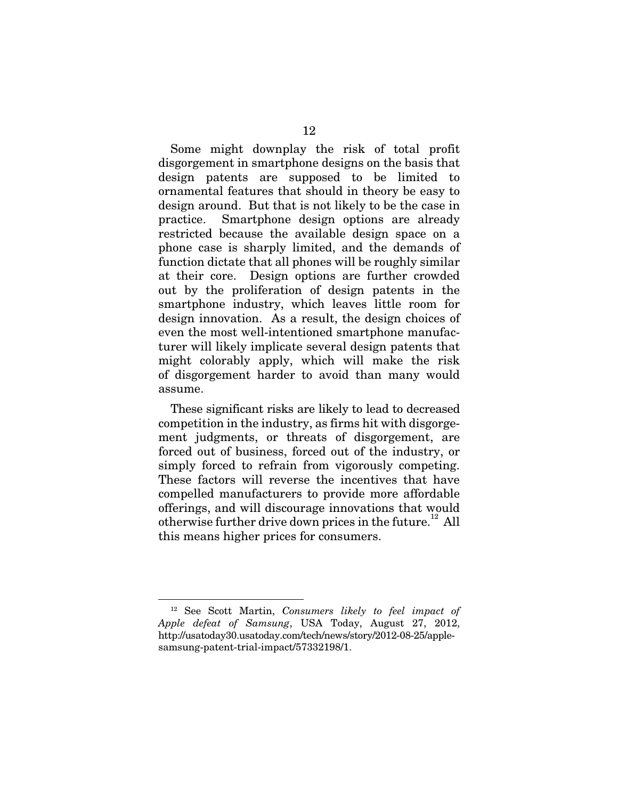Some might downplay the risk of total profit disgorgement in smartphone designs on the basis that design patents are supposed to be limited to ornamental features that should in theory be easy to design around. But that is not likely to be the case in practice. Smartphone design options are already restricted because the available design space on a phone case is sharply limited, and the demands of function dictate that all phones will be roughly similar at their core. Design options are further crowded out by the proliferation of design patents in the smartphone industry, which leaves little room for design innovation. As a result, the design choices of even the most well-intentioned smartphone manufacturer will likely implicate several design patents that might colorably apply, which will make the risk of disgorgement harder to avoid than many would assume.

These significant risks are likely to lead to decreased competition in the industry, as firms hit with disgorgement judgments, or threats of disgorgement, are forced out of business, forced out of the industry, or simply forced to refrain from vigorously competing. These factors will reverse the incentives that have compelled manufacturers to provide more affordable offerings, and will discourage innovations that would otherwise further drive down prices in the future.<sup>12</sup> All this means higher prices for consumers.

<sup>12</sup> See Scott Martin, *Consumers likely to feel impact of Apple defeat of Samsung*, USA Today, August 27, 2012, http://usatoday30.usatoday.com/tech/news/story/2012-08-25/applesamsung-patent-trial-impact/57332198/1.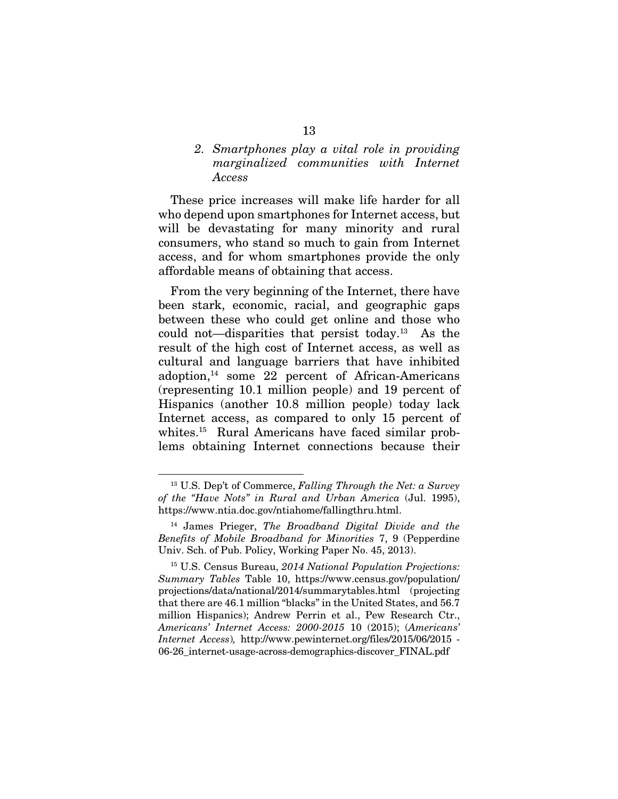### *2. Smartphones play a vital role in providing marginalized communities with Internet Access*

These price increases will make life harder for all who depend upon smartphones for Internet access, but will be devastating for many minority and rural consumers, who stand so much to gain from Internet access, and for whom smartphones provide the only affordable means of obtaining that access.

From the very beginning of the Internet, there have been stark, economic, racial, and geographic gaps between these who could get online and those who could not—disparities that persist today.13 As the result of the high cost of Internet access, as well as cultural and language barriers that have inhibited adoption, $14$  some 22 percent of African-Americans (representing 10.1 million people) and 19 percent of Hispanics (another 10.8 million people) today lack Internet access, as compared to only 15 percent of whites.15 Rural Americans have faced similar problems obtaining Internet connections because their

<sup>13</sup> U.S. Dep't of Commerce, *Falling Through the Net: a Survey of the "Have Nots" in Rural and Urban America* (Jul. 1995), https://www.ntia.doc.gov/ntiahome/fallingthru.html.

<sup>14</sup> James Prieger, *The Broadband Digital Divide and the Benefits of Mobile Broadband for Minorities* 7, 9 (Pepperdine Univ. Sch. of Pub. Policy, Working Paper No. 45, 2013).

<sup>15</sup> U.S. Census Bureau, *2014 National Population Projections: Summary Tables* Table 10, https://www.census.gov/population/ projections/data/national/2014/summarytables.html (projecting that there are 46.1 million "blacks" in the United States, and 56.7 million Hispanics); Andrew Perrin et al., Pew Research Ctr., *Americans' Internet Access: 2000-2015* 10 (2015); (*Americans' Internet Access*)*,* http://www.pewinternet.org/files/2015/06/2015 - 06-26\_internet-usage-across-demographics-discover\_FINAL.pdf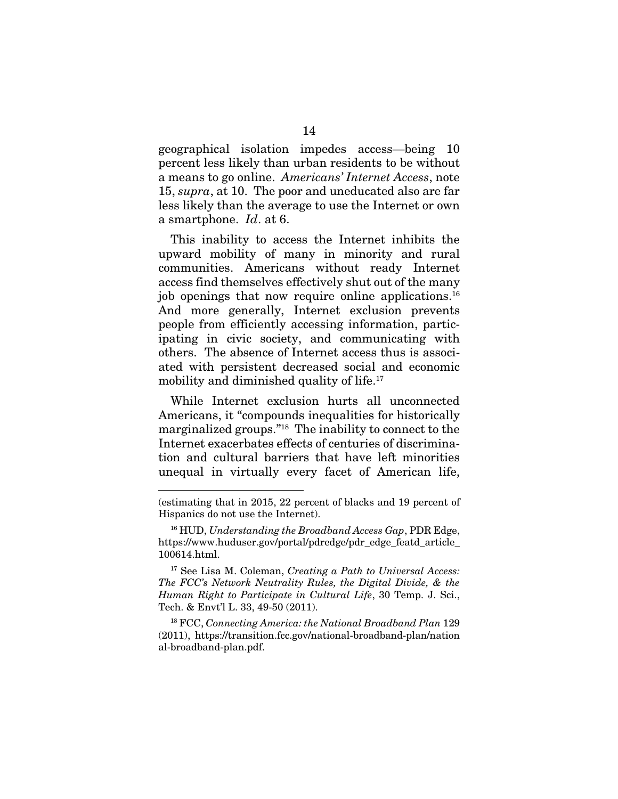geographical isolation impedes access—being 10 percent less likely than urban residents to be without a means to go online. *Americans' Internet Access*, note 15, *supra*, at 10. The poor and uneducated also are far less likely than the average to use the Internet or own a smartphone. *Id*. at 6.

This inability to access the Internet inhibits the upward mobility of many in minority and rural communities. Americans without ready Internet access find themselves effectively shut out of the many job openings that now require online applications.16 And more generally, Internet exclusion prevents people from efficiently accessing information, participating in civic society, and communicating with others. The absence of Internet access thus is associated with persistent decreased social and economic mobility and diminished quality of life.<sup>17</sup>

While Internet exclusion hurts all unconnected Americans, it "compounds inequalities for historically marginalized groups."18 The inability to connect to the Internet exacerbates effects of centuries of discrimination and cultural barriers that have left minorities unequal in virtually every facet of American life,

<sup>(</sup>estimating that in 2015, 22 percent of blacks and 19 percent of Hispanics do not use the Internet).

<sup>16</sup> HUD, *Understanding the Broadband Access Gap*, PDR Edge, https://www.huduser.gov/portal/pdredge/pdr\_edge\_featd\_article\_ 100614.html.

<sup>17</sup> See Lisa M. Coleman, *Creating a Path to Universal Access: The FCC's Network Neutrality Rules, the Digital Divide, & the Human Right to Participate in Cultural Life*, 30 Temp. J. Sci., Tech. & Envt'l L. 33, 49-50 (2011).

<sup>18</sup> FCC, *Connecting America: the National Broadband Plan* 129 (2011), https://transition.fcc.gov/national-broadband-plan/nation al-broadband-plan.pdf.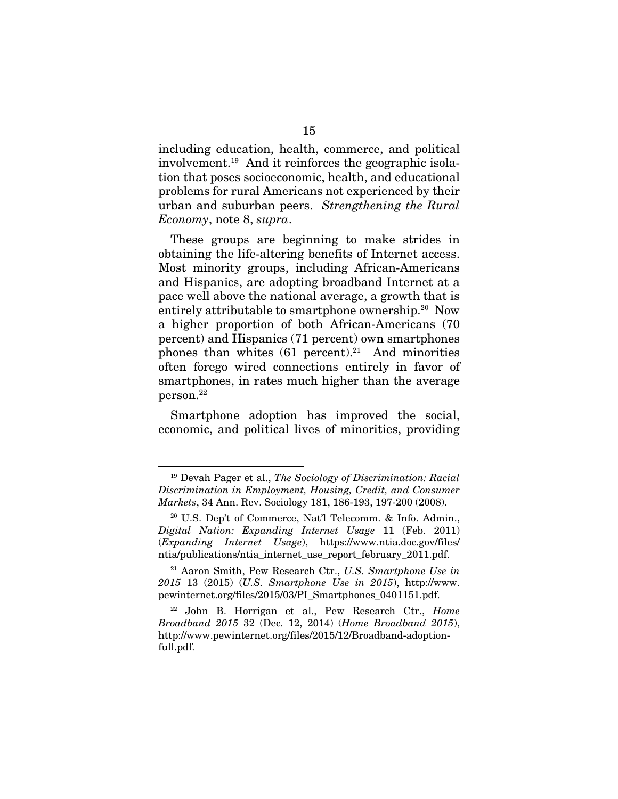including education, health, commerce, and political involvement.19 And it reinforces the geographic isolation that poses socioeconomic, health, and educational problems for rural Americans not experienced by their urban and suburban peers. *Strengthening the Rural Economy*, note 8, *supra*.

These groups are beginning to make strides in obtaining the life-altering benefits of Internet access. Most minority groups, including African-Americans and Hispanics, are adopting broadband Internet at a pace well above the national average, a growth that is entirely attributable to smartphone ownership.<sup>20</sup> Now a higher proportion of both African-Americans (70 percent) and Hispanics (71 percent) own smartphones phones than whites  $(61$  percent).<sup>21</sup> And minorities often forego wired connections entirely in favor of smartphones, in rates much higher than the average person.22

Smartphone adoption has improved the social, economic, and political lives of minorities, providing

<sup>19</sup> Devah Pager et al., *The Sociology of Discrimination: Racial Discrimination in Employment, Housing, Credit, and Consumer Markets*, 34 Ann. Rev. Sociology 181, 186-193, 197-200 (2008).

<sup>20</sup> U.S. Dep't of Commerce, Nat'l Telecomm. & Info. Admin., *Digital Nation: Expanding Internet Usage* 11 (Feb. 2011) (*Expanding Internet Usage*), https://www.ntia.doc.gov/files/ ntia/publications/ntia\_internet\_use\_report\_february\_2011.pdf.

<sup>21</sup> Aaron Smith, Pew Research Ctr., *U.S. Smartphone Use in 2015* 13 (2015) (*U.S. Smartphone Use in 2015*), http://www. pewinternet.org/files/2015/03/PI\_Smartphones\_0401151.pdf.

<sup>22</sup> John B. Horrigan et al., Pew Research Ctr., *Home Broadband 2015* 32 (Dec. 12, 2014) (*Home Broadband 2015*), http://www.pewinternet.org/files/2015/12/Broadband-adoptionfull.pdf.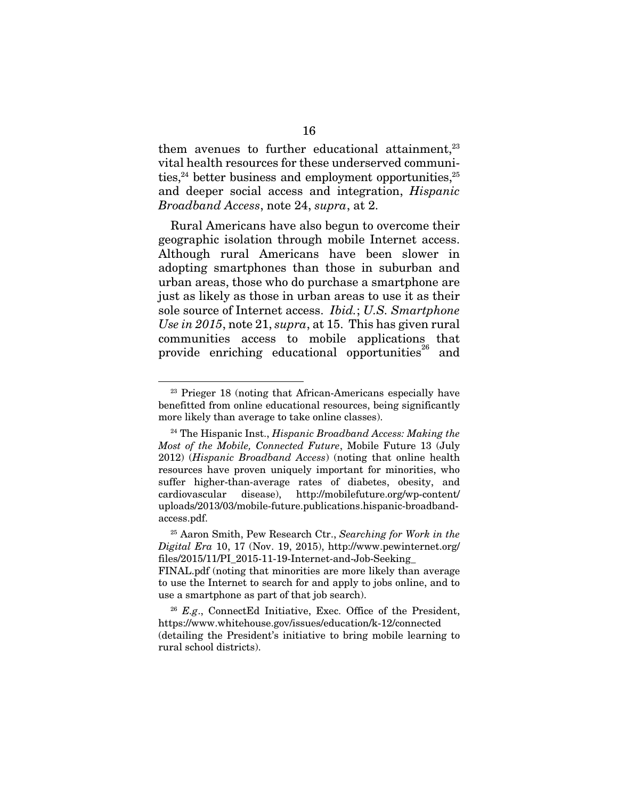them avenues to further educational attainment.<sup>23</sup> vital health resources for these underserved communities,  $24$  better business and employment opportunities,  $25$ and deeper social access and integration, *Hispanic Broadband Access*, note 24, *supra*, at 2.

Rural Americans have also begun to overcome their geographic isolation through mobile Internet access. Although rural Americans have been slower in adopting smartphones than those in suburban and urban areas, those who do purchase a smartphone are just as likely as those in urban areas to use it as their sole source of Internet access. *Ibid.*; *U.S. Smartphone Use in 2015*, note 21, *supra*, at 15. This has given rural communities access to mobile applications that provide enriching educational opportunities<sup>26</sup> and

<sup>&</sup>lt;sup>23</sup> Prieger 18 (noting that African-Americans especially have benefitted from online educational resources, being significantly more likely than average to take online classes).

<sup>24</sup> The Hispanic Inst., *Hispanic Broadband Access: Making the Most of the Mobile, Connected Future*, Mobile Future 13 (July 2012) (*Hispanic Broadband Access*) (noting that online health resources have proven uniquely important for minorities, who suffer higher-than-average rates of diabetes, obesity, and cardiovascular disease), http://mobilefuture.org/wp-content/ uploads/2013/03/mobile-future.publications.hispanic-broadbandaccess.pdf.

<sup>25</sup> Aaron Smith, Pew Research Ctr., *Searching for Work in the Digital Era* 10, 17 (Nov. 19, 2015), http://www.pewinternet.org/  $files/2015/11/PI$  2015-11-19-Internet-and-Job-Seeking

FINAL.pdf (noting that minorities are more likely than average to use the Internet to search for and apply to jobs online, and to use a smartphone as part of that job search).

<sup>&</sup>lt;sup>26</sup> *E.g.*, ConnectEd Initiative, Exec. Office of the President, https://www.whitehouse.gov/issues/education/k-12/connected (detailing the President's initiative to bring mobile learning to rural school districts).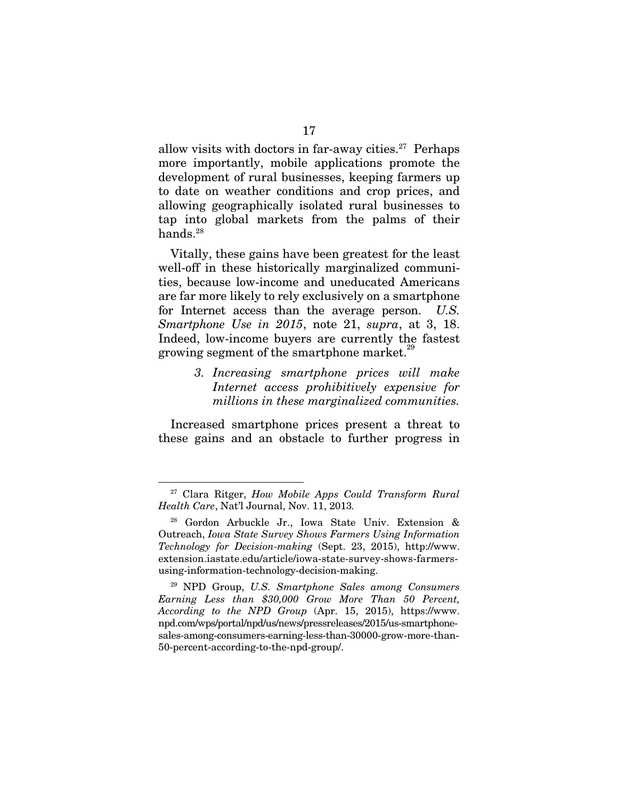allow visits with doctors in far-away cities.<sup>27</sup> Perhaps more importantly, mobile applications promote the development of rural businesses, keeping farmers up to date on weather conditions and crop prices, and allowing geographically isolated rural businesses to tap into global markets from the palms of their hands.<sup>28</sup>

Vitally, these gains have been greatest for the least well-off in these historically marginalized communities, because low-income and uneducated Americans are far more likely to rely exclusively on a smartphone for Internet access than the average person. *U.S. Smartphone Use in 2015*, note 21, *supra*, at 3, 18. Indeed, low-income buyers are currently the fastest growing segment of the smartphone market.<sup>2</sup>

> *3. Increasing smartphone prices will make Internet access prohibitively expensive for millions in these marginalized communities.*

Increased smartphone prices present a threat to these gains and an obstacle to further progress in

<sup>27</sup> Clara Ritger, *How Mobile Apps Could Transform Rural Health Care*, Nat'l Journal, Nov. 11, 2013*.*

<sup>28</sup> Gordon Arbuckle Jr., Iowa State Univ. Extension & Outreach, *Iowa State Survey Shows Farmers Using Information Technology for Decision-making* (Sept. 23, 2015), http://www. extension.iastate.edu/article/iowa-state-survey-shows-farmersusing-information-technology-decision-making.

<sup>29</sup> NPD Group, *U.S. Smartphone Sales among Consumers Earning Less than \$30,000 Grow More Than 50 Percent, According to the NPD Group* (Apr. 15, 2015), https://www. npd.com/wps/portal/npd/us/news/pressreleases/2015/us-smartphonesales-among-consumers-earning-less-than-30000-grow-more-than-50-percent-according-to-the-npd-group/.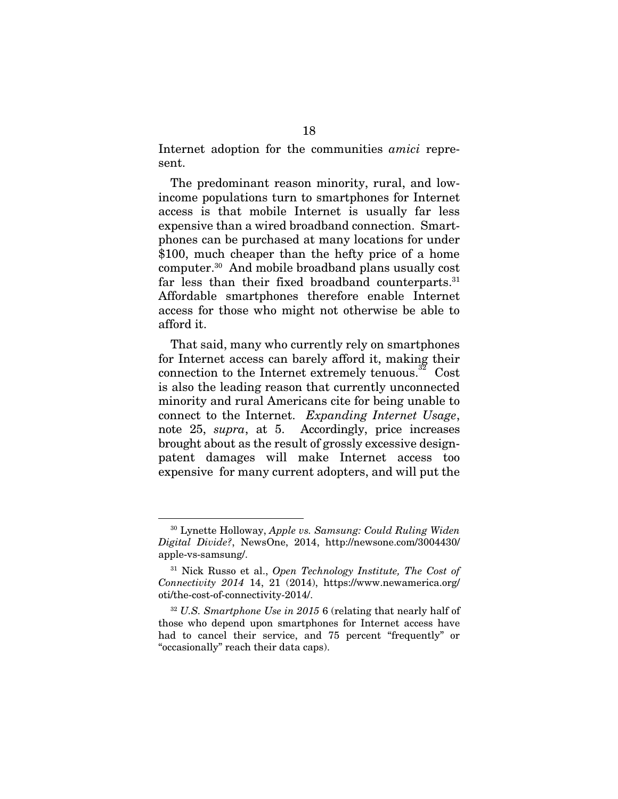Internet adoption for the communities *amici* represent.

The predominant reason minority, rural, and lowincome populations turn to smartphones for Internet access is that mobile Internet is usually far less expensive than a wired broadband connection. Smartphones can be purchased at many locations for under \$100, much cheaper than the hefty price of a home computer.30 And mobile broadband plans usually cost far less than their fixed broadband counterparts.<sup>31</sup> Affordable smartphones therefore enable Internet access for those who might not otherwise be able to afford it.

That said, many who currently rely on smartphones for Internet access can barely afford it, making their connection to the Internet extremely tenuous.<sup>32</sup> Cost is also the leading reason that currently unconnected minority and rural Americans cite for being unable to connect to the Internet. *Expanding Internet Usage*, note 25, *supra*, at 5. Accordingly, price increases brought about as the result of grossly excessive designpatent damages will make Internet access too expensive for many current adopters, and will put the

<sup>30</sup> Lynette Holloway, *Apple vs. Samsung: Could Ruling Widen Digital Divide?*, NewsOne, 2014, http://newsone.com/3004430/ apple-vs-samsung/.

<sup>31</sup> Nick Russo et al., *Open Technology Institute, The Cost of Connectivity 2014* 14, 21 (2014), https://www.newamerica.org/ oti/the-cost-of-connectivity-2014/.

<sup>32</sup> *U.S. Smartphone Use in 2015* 6 (relating that nearly half of those who depend upon smartphones for Internet access have had to cancel their service, and 75 percent "frequently" or "occasionally" reach their data caps).